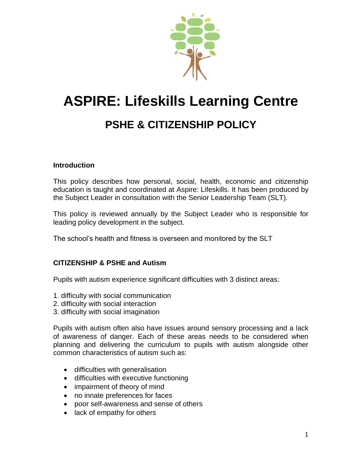

# **ASPIRE: Lifeskills Learning Centre**

# **PSHE & CITIZENSHIP POLICY**

# **Introduction**

This policy describes how personal, social, health, economic and citizenship education is taught and coordinated at Aspire: Lifeskills. It has been produced by the Subject Leader in consultation with the Senior Leadership Team (SLT).

This policy is reviewed annually by the Subject Leader who is responsible for leading policy development in the subject.

The school's health and fitness is overseen and monitored by the SLT

# **CITIZENSHIP & PSHE and Autism**

Pupils with autism experience significant difficulties with 3 distinct areas:

- 1. difficulty with social communication
- 2. difficulty with social interaction
- 3. difficulty with social imagination

Pupils with autism often also have issues around sensory processing and a lack of awareness of danger. Each of these areas needs to be considered when planning and delivering the curriculum to pupils with autism alongside other common characteristics of autism such as:

- difficulties with generalisation
- difficulties with executive functioning
- impairment of theory of mind
- no innate preferences for faces
- poor self-awareness and sense of others
- lack of empathy for others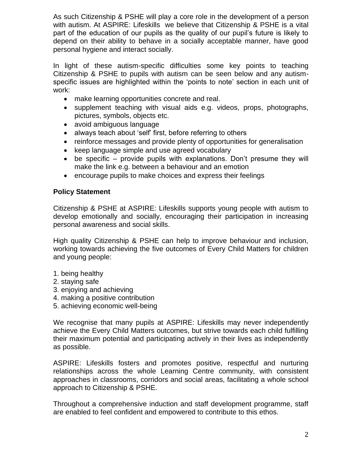As such Citizenship & PSHE will play a core role in the development of a person with autism. At ASPIRE: Lifeskills we believe that Citizenship & PSHE is a vital part of the education of our pupils as the quality of our pupil's future is likely to depend on their ability to behave in a socially acceptable manner, have good personal hygiene and interact socially.

In light of these autism-specific difficulties some key points to teaching Citizenship & PSHE to pupils with autism can be seen below and any autismspecific issues are highlighted within the 'points to note' section in each unit of work:

- make learning opportunities concrete and real.
- supplement teaching with visual aids e.g. videos, props, photographs, pictures, symbols, objects etc.
- avoid ambiguous language
- always teach about 'self' first, before referring to others
- reinforce messages and provide plenty of opportunities for generalisation
- keep language simple and use agreed vocabulary
- be specific provide pupils with explanations. Don't presume they will make the link e.g. between a behaviour and an emotion
- encourage pupils to make choices and express their feelings

#### **Policy Statement**

Citizenship & PSHE at ASPIRE: Lifeskills supports young people with autism to develop emotionally and socially, encouraging their participation in increasing personal awareness and social skills.

High quality Citizenship & PSHE can help to improve behaviour and inclusion, working towards achieving the five outcomes of Every Child Matters for children and young people:

- 1. being healthy
- 2. staying safe
- 3. enjoying and achieving
- 4. making a positive contribution
- 5. achieving economic well-being

We recognise that many pupils at ASPIRE: Lifeskills may never independently achieve the Every Child Matters outcomes, but strive towards each child fulfilling their maximum potential and participating actively in their lives as independently as possible.

ASPIRE: Lifeskills fosters and promotes positive, respectful and nurturing relationships across the whole Learning Centre community, with consistent approaches in classrooms, corridors and social areas, facilitating a whole school approach to Citizenship & PSHE.

Throughout a comprehensive induction and staff development programme, staff are enabled to feel confident and empowered to contribute to this ethos.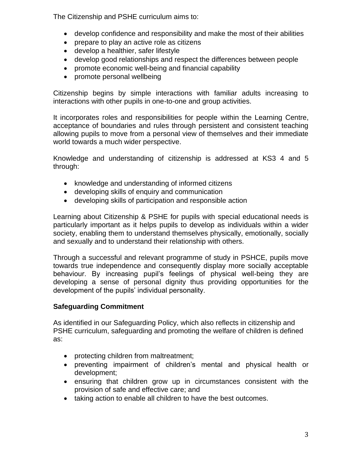The Citizenship and PSHE curriculum aims to:

- develop confidence and responsibility and make the most of their abilities
- prepare to play an active role as citizens
- develop a healthier, safer lifestyle
- develop good relationships and respect the differences between people
- promote economic well-being and financial capability
- promote personal wellbeing

Citizenship begins by simple interactions with familiar adults increasing to interactions with other pupils in one-to-one and group activities.

It incorporates roles and responsibilities for people within the Learning Centre, acceptance of boundaries and rules through persistent and consistent teaching allowing pupils to move from a personal view of themselves and their immediate world towards a much wider perspective.

Knowledge and understanding of citizenship is addressed at KS3 4 and 5 through:

- knowledge and understanding of informed citizens
- developing skills of enquiry and communication
- developing skills of participation and responsible action

Learning about Citizenship & PSHE for pupils with special educational needs is particularly important as it helps pupils to develop as individuals within a wider society, enabling them to understand themselves physically, emotionally, socially and sexually and to understand their relationship with others.

Through a successful and relevant programme of study in PSHCE, pupils move towards true independence and consequently display more socially acceptable behaviour. By increasing pupil's feelings of physical well-being they are developing a sense of personal dignity thus providing opportunities for the development of the pupils' individual personality.

# **Safeguarding Commitment**

As identified in our Safeguarding Policy, which also reflects in citizenship and PSHE curriculum, safeguarding and promoting the welfare of children is defined as:

- protecting children from maltreatment;
- preventing impairment of children's mental and physical health or development;
- ensuring that children grow up in circumstances consistent with the provision of safe and effective care; and
- taking action to enable all children to have the best outcomes.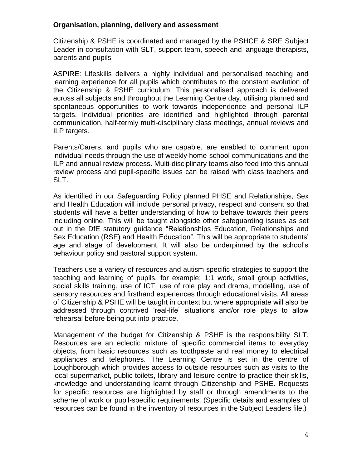#### **Organisation, planning, delivery and assessment**

Citizenship & PSHE is coordinated and managed by the PSHCE & SRE Subject Leader in consultation with SLT, support team, speech and language therapists, parents and pupils

ASPIRE: Lifeskills delivers a highly individual and personalised teaching and learning experience for all pupils which contributes to the constant evolution of the Citizenship & PSHE curriculum. This personalised approach is delivered across all subjects and throughout the Learning Centre day, utilising planned and spontaneous opportunities to work towards independence and personal ILP targets. Individual priorities are identified and highlighted through parental communication, half-termly multi-disciplinary class meetings, annual reviews and ILP targets.

Parents/Carers, and pupils who are capable, are enabled to comment upon individual needs through the use of weekly home-school communications and the ILP and annual review process. Multi-disciplinary teams also feed into this annual review process and pupil-specific issues can be raised with class teachers and SLT.

As identified in our Safeguarding Policy planned PHSE and Relationships, Sex and Health Education will include personal privacy, respect and consent so that students will have a better understanding of how to behave towards their peers including online. This will be taught alongside other safeguarding issues as set out in the DfE statutory guidance "Relationships Education, Relationships and Sex Education (RSE) and Health Education". This will be appropriate to students' age and stage of development. It will also be underpinned by the school's behaviour policy and pastoral support system.

Teachers use a variety of resources and autism specific strategies to support the teaching and learning of pupils, for example: 1:1 work, small group activities, social skills training, use of ICT, use of role play and drama, modelling, use of sensory resources and firsthand experiences through educational visits. All areas of Citizenship & PSHE will be taught in context but where appropriate will also be addressed through contrived 'real-life' situations and/or role plays to allow rehearsal before being put into practice.

Management of the budget for Citizenship & PSHE is the responsibility SLT. Resources are an eclectic mixture of specific commercial items to everyday objects, from basic resources such as toothpaste and real money to electrical appliances and telephones. The Learning Centre is set in the centre of Loughborough which provides access to outside resources such as visits to the local supermarket, public toilets, library and leisure centre to practice their skills, knowledge and understanding learnt through Citizenship and PSHE. Requests for specific resources are highlighted by staff or through amendments to the scheme of work or pupil-specific requirements. (Specific details and examples of resources can be found in the inventory of resources in the Subject Leaders file.)